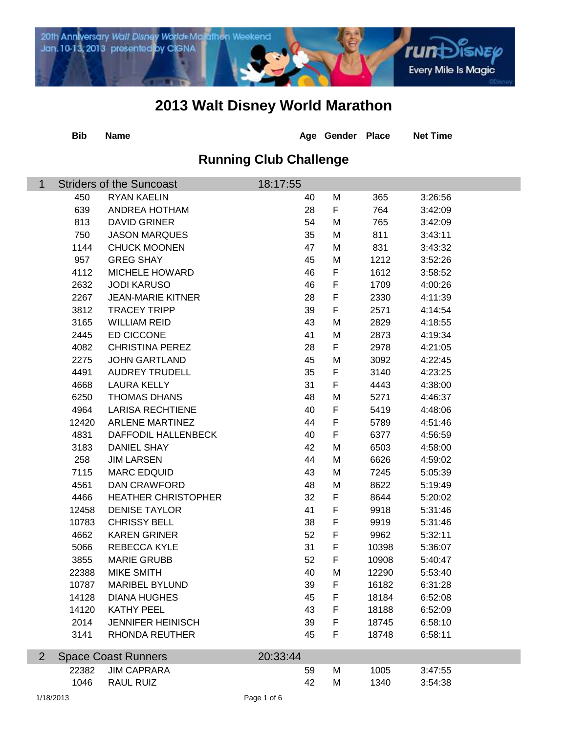

|                | <b>Bib</b>               | <b>Name</b>                     |                               | Age Gender  | <b>Place</b> | <b>Net Time</b> |  |  |  |
|----------------|--------------------------|---------------------------------|-------------------------------|-------------|--------------|-----------------|--|--|--|
|                |                          |                                 | <b>Running Club Challenge</b> |             |              |                 |  |  |  |
| $\mathbf 1$    |                          | <b>Striders of the Suncoast</b> | 18:17:55                      |             |              |                 |  |  |  |
|                | 450                      | <b>RYAN KAELIN</b>              | 40                            | M           | 365          | 3:26:56         |  |  |  |
|                | 639                      | ANDREA HOTHAM                   | 28                            | F           | 764          | 3:42:09         |  |  |  |
|                | 813                      | <b>DAVID GRINER</b>             | 54                            | M           | 765          | 3:42:09         |  |  |  |
|                | 750                      | <b>JASON MARQUES</b>            | 35                            | M           | 811          | 3:43:11         |  |  |  |
|                | 1144                     | <b>CHUCK MOONEN</b>             | 47                            | M           | 831          | 3:43:32         |  |  |  |
|                | 957                      | <b>GREG SHAY</b>                | 45                            | M           | 1212         | 3:52:26         |  |  |  |
|                | 4112                     | <b>MICHELE HOWARD</b>           | 46                            | F           | 1612         | 3:58:52         |  |  |  |
|                | 2632                     | <b>JODI KARUSO</b>              | 46                            | $\mathsf F$ | 1709         | 4:00:26         |  |  |  |
|                | 2267                     | <b>JEAN-MARIE KITNER</b>        | 28                            | $\mathsf F$ | 2330         | 4:11:39         |  |  |  |
|                | 3812                     | <b>TRACEY TRIPP</b>             | 39                            | $\mathsf F$ | 2571         | 4:14:54         |  |  |  |
|                | 3165                     | <b>WILLIAM REID</b>             | 43                            | M           | 2829         | 4:18:55         |  |  |  |
|                | 2445                     | ED CICCONE                      | 41                            | M           | 2873         | 4:19:34         |  |  |  |
|                | 4082                     | <b>CHRISTINA PEREZ</b>          | 28                            | F           | 2978         | 4:21:05         |  |  |  |
|                | 2275                     | <b>JOHN GARTLAND</b>            | 45                            | M           | 3092         | 4:22:45         |  |  |  |
|                | 4491                     | <b>AUDREY TRUDELL</b>           | 35                            | F           | 3140         | 4:23:25         |  |  |  |
|                | 4668                     | <b>LAURA KELLY</b>              | 31                            | F           | 4443         | 4:38:00         |  |  |  |
|                | 6250                     | <b>THOMAS DHANS</b>             | 48                            | M           | 5271         | 4:46:37         |  |  |  |
|                | 4964                     | <b>LARISA RECHTIENE</b>         | 40                            | F           | 5419         | 4:48:06         |  |  |  |
|                | 12420                    | <b>ARLENE MARTINEZ</b>          | 44                            | F           | 5789         | 4:51:46         |  |  |  |
|                | 4831                     | DAFFODIL HALLENBECK             | 40                            | $\mathsf F$ | 6377         | 4:56:59         |  |  |  |
|                | 3183                     | <b>DANIEL SHAY</b>              | 42                            | M           | 6503         | 4:58:00         |  |  |  |
|                | 258                      | <b>JIM LARSEN</b>               | 44                            | M           | 6626         | 4:59:02         |  |  |  |
|                | 7115                     | <b>MARC EDQUID</b>              | 43                            | M           | 7245         | 5:05:39         |  |  |  |
|                | 4561                     | <b>DAN CRAWFORD</b>             | 48                            | M           | 8622         | 5:19:49         |  |  |  |
|                | 4466                     | <b>HEATHER CHRISTOPHER</b>      | 32                            | F           | 8644         | 5:20:02         |  |  |  |
|                | 12458                    | <b>DENISE TAYLOR</b>            | 41                            | $\mathsf F$ | 9918         | 5:31:46         |  |  |  |
|                | 10783                    | <b>CHRISSY BELL</b>             | 38                            | $\mathsf F$ | 9919         | 5:31:46         |  |  |  |
|                | 4662                     | <b>KAREN GRINER</b>             | 52                            | F           | 9962         | 5:32:11         |  |  |  |
|                | 5066                     | REBECCA KYLE                    | 31                            | $\mathsf F$ | 10398        | 5:36:07         |  |  |  |
|                | 3855                     | <b>MARIE GRUBB</b>              | 52                            | F           | 10908        | 5:40:47         |  |  |  |
|                | 22388                    | MIKE SMITH                      | 40                            | M           | 12290        | 5:53:40         |  |  |  |
|                | 10787                    | <b>MARIBEL BYLUND</b>           | 39                            | F           | 16182        | 6:31:28         |  |  |  |
|                | 14128                    | <b>DIANA HUGHES</b>             | 45                            | F           | 18184        | 6:52:08         |  |  |  |
|                | 14120                    | <b>KATHY PEEL</b>               | 43                            | $\mathsf F$ | 18188        | 6:52:09         |  |  |  |
|                | 2014                     | <b>JENNIFER HEINISCH</b>        | 39                            | $\mathsf F$ | 18745        | 6:58:10         |  |  |  |
|                | 3141                     | <b>RHONDA REUTHER</b>           | 45                            | F           | 18748        | 6:58:11         |  |  |  |
|                |                          |                                 |                               |             |              |                 |  |  |  |
| $\overline{2}$ |                          | <b>Space Coast Runners</b>      | 20:33:44                      |             |              |                 |  |  |  |
|                | 22382                    | <b>JIM CAPRARA</b>              | 59                            | M           | 1005         | 3:47:55         |  |  |  |
|                | 1046                     | <b>RAUL RUIZ</b>                | 42                            | M           | 1340         | 3:54:38         |  |  |  |
|                | 1/18/2013<br>Page 1 of 6 |                                 |                               |             |              |                 |  |  |  |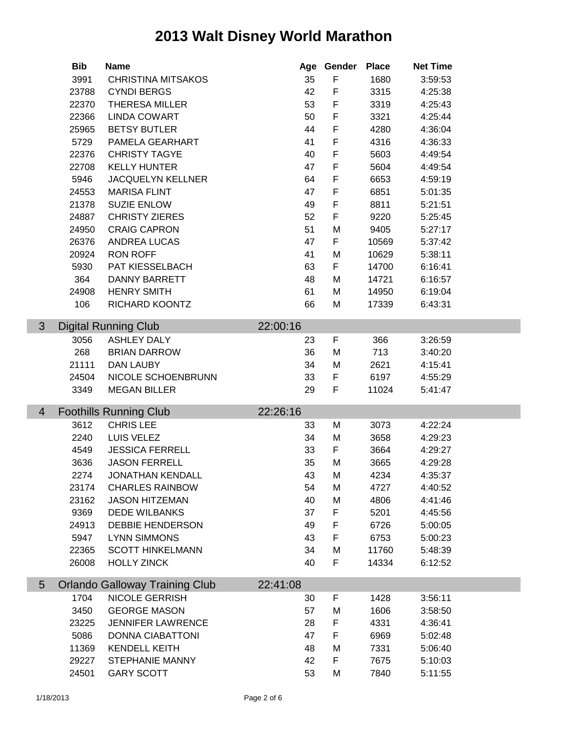|   | <b>Bib</b> | <b>Name</b>                           |          | Age Gender  | <b>Place</b> | <b>Net Time</b> |  |
|---|------------|---------------------------------------|----------|-------------|--------------|-----------------|--|
|   | 3991       | <b>CHRISTINA MITSAKOS</b>             | 35       | F           | 1680         | 3:59:53         |  |
|   | 23788      | <b>CYNDI BERGS</b>                    | 42       | $\mathsf F$ | 3315         | 4:25:38         |  |
|   | 22370      | <b>THERESA MILLER</b>                 | 53       | $\mathsf F$ | 3319         | 4:25:43         |  |
|   | 22366      | <b>LINDA COWART</b>                   | 50       | $\mathsf F$ | 3321         | 4:25:44         |  |
|   | 25965      | <b>BETSY BUTLER</b>                   | 44       | $\mathsf F$ | 4280         | 4:36:04         |  |
|   | 5729       | PAMELA GEARHART                       | 41       | $\mathsf F$ | 4316         | 4:36:33         |  |
|   | 22376      | <b>CHRISTY TAGYE</b>                  | 40       | $\mathsf F$ | 5603         | 4:49:54         |  |
|   | 22708      | <b>KELLY HUNTER</b>                   | 47       | F           | 5604         | 4:49:54         |  |
|   | 5946       | <b>JACQUELYN KELLNER</b>              | 64       | $\mathsf F$ | 6653         | 4:59:19         |  |
|   | 24553      | <b>MARISA FLINT</b>                   | 47       | F           | 6851         | 5:01:35         |  |
|   | 21378      | <b>SUZIE ENLOW</b>                    | 49       | $\mathsf F$ | 8811         | 5:21:51         |  |
|   | 24887      | <b>CHRISTY ZIERES</b>                 | 52       | $\mathsf F$ | 9220         | 5:25:45         |  |
|   | 24950      | <b>CRAIG CAPRON</b>                   | 51       | M           | 9405         | 5:27:17         |  |
|   | 26376      | ANDREA LUCAS                          | 47       | F           | 10569        | 5:37:42         |  |
|   | 20924      | <b>RON ROFF</b>                       | 41       | M           | 10629        | 5:38:11         |  |
|   | 5930       | PAT KIESSELBACH                       | 63       | F           | 14700        | 6:16:41         |  |
|   | 364        | <b>DANNY BARRETT</b>                  | 48       | M           | 14721        | 6:16:57         |  |
|   | 24908      | <b>HENRY SMITH</b>                    | 61       | M           | 14950        | 6:19:04         |  |
|   | 106        | RICHARD KOONTZ                        | 66       | M           | 17339        | 6:43:31         |  |
|   |            |                                       |          |             |              |                 |  |
| 3 |            | <b>Digital Running Club</b>           | 22:00:16 |             |              |                 |  |
|   | 3056       | <b>ASHLEY DALY</b>                    | 23       | F           | 366          | 3:26:59         |  |
|   | 268        | <b>BRIAN DARROW</b>                   | 36       | M           | 713          | 3:40:20         |  |
|   | 21111      | DAN LAUBY                             | 34       | M           | 2621         | 4:15:41         |  |
|   | 24504      | NICOLE SCHOENBRUNN                    | 33       | F           | 6197         | 4:55:29         |  |
|   | 3349       | <b>MEGAN BILLER</b>                   | 29       | F           | 11024        | 5:41:47         |  |
|   |            |                                       |          |             |              |                 |  |
| 4 |            | <b>Foothills Running Club</b>         | 22:26:16 |             |              |                 |  |
|   | 3612       | <b>CHRIS LEE</b>                      | 33       | M           | 3073         | 4:22:24         |  |
|   | 2240       | LUIS VELEZ                            | 34       | M           | 3658         | 4:29:23         |  |
|   | 4549       | <b>JESSICA FERRELL</b>                | 33       | F           | 3664         | 4:29:27         |  |
|   | 3636       | <b>JASON FERRELL</b>                  | 35       | M           | 3665         | 4:29:28         |  |
|   | 2274       | <b>JONATHAN KENDALL</b>               | 43       | M           | 4234         | 4:35:37         |  |
|   | 23174      | <b>CHARLES RAINBOW</b>                | 54       | M           | 4727         | 4:40:52         |  |
|   | 23162      | <b>JASON HITZEMAN</b>                 | 40       | M           | 4806         | 4:41:46         |  |
|   | 9369       | <b>DEDE WILBANKS</b>                  | 37       | $\mathsf F$ | 5201         | 4:45:56         |  |
|   | 24913      | <b>DEBBIE HENDERSON</b>               | 49       | F           | 6726         | 5:00:05         |  |
|   | 5947       | <b>LYNN SIMMONS</b>                   | 43       | F           | 6753         | 5:00:23         |  |
|   | 22365      | <b>SCOTT HINKELMANN</b>               | 34       | M           | 11760        | 5:48:39         |  |
|   | 26008      | <b>HOLLY ZINCK</b>                    | 40       | F           | 14334        | 6:12:52         |  |
|   |            |                                       |          |             |              |                 |  |
| 5 |            | <b>Orlando Galloway Training Club</b> | 22:41:08 |             |              |                 |  |
|   | 1704       | <b>NICOLE GERRISH</b>                 | 30       | F           | 1428         | 3:56:11         |  |
|   |            | <b>GEORGE MASON</b>                   | 57       | M           | 1606         | 3:58:50         |  |
|   | 3450       |                                       |          |             |              |                 |  |
|   | 23225      | <b>JENNIFER LAWRENCE</b>              | 28       | F           | 4331         | 4:36:41         |  |
|   | 5086       | <b>DONNA CIABATTONI</b>               | 47       | F           | 6969         | 5:02:48         |  |
|   | 11369      | <b>KENDELL KEITH</b>                  | 48       | M           | 7331         | 5:06:40         |  |
|   | 29227      | STEPHANIE MANNY                       | 42       | F           | 7675         | 5:10:03         |  |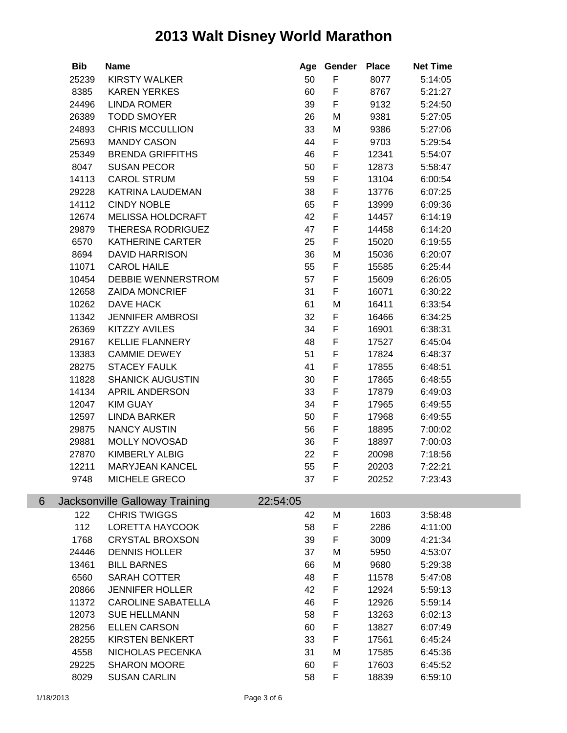|   | <b>Bib</b> | <b>Name</b>                           | Age      | Gender      | <b>Place</b> | <b>Net Time</b> |  |
|---|------------|---------------------------------------|----------|-------------|--------------|-----------------|--|
|   | 25239      | <b>KIRSTY WALKER</b>                  | 50       | F           | 8077         | 5:14:05         |  |
|   | 8385       | <b>KAREN YERKES</b>                   | 60       | $\mathsf F$ | 8767         | 5:21:27         |  |
|   | 24496      | <b>LINDA ROMER</b>                    | 39       | F           | 9132         | 5:24:50         |  |
|   | 26389      | <b>TODD SMOYER</b>                    | 26       | M           | 9381         | 5:27:05         |  |
|   | 24893      | <b>CHRIS MCCULLION</b>                | 33       | M           | 9386         | 5:27:06         |  |
|   | 25693      | <b>MANDY CASON</b>                    | 44       | F           | 9703         | 5:29:54         |  |
|   | 25349      | <b>BRENDA GRIFFITHS</b>               | 46       | F           | 12341        | 5:54:07         |  |
|   | 8047       | <b>SUSAN PECOR</b>                    | 50       | F           | 12873        | 5:58:47         |  |
|   | 14113      | <b>CAROL STRUM</b>                    | 59       | F           | 13104        | 6:00:54         |  |
|   | 29228      | KATRINA LAUDEMAN                      | 38       | F           | 13776        | 6:07:25         |  |
|   | 14112      | <b>CINDY NOBLE</b>                    | 65       | F           | 13999        | 6:09:36         |  |
|   | 12674      | MELISSA HOLDCRAFT                     | 42       | F           | 14457        | 6:14:19         |  |
|   | 29879      | THERESA RODRIGUEZ                     | 47       | F           | 14458        | 6:14:20         |  |
|   | 6570       | <b>KATHERINE CARTER</b>               | 25       | F           | 15020        | 6:19:55         |  |
|   | 8694       | <b>DAVID HARRISON</b>                 | 36       | M           | 15036        | 6:20:07         |  |
|   | 11071      | <b>CAROL HAILE</b>                    | 55       | F           | 15585        | 6:25:44         |  |
|   | 10454      | DEBBIE WENNERSTROM                    | 57       | F           | 15609        | 6:26:05         |  |
|   | 12658      | <b>ZAIDA MONCRIEF</b>                 | 31       | F           | 16071        | 6:30:22         |  |
|   | 10262      | DAVE HACK                             | 61       | M           | 16411        | 6:33:54         |  |
|   | 11342      | <b>JENNIFER AMBROSI</b>               | 32       | F           | 16466        | 6:34:25         |  |
|   | 26369      | <b>KITZZY AVILES</b>                  | 34       | F           | 16901        | 6:38:31         |  |
|   | 29167      | <b>KELLIE FLANNERY</b>                | 48       | F           | 17527        | 6:45:04         |  |
|   | 13383      | <b>CAMMIE DEWEY</b>                   | 51       | F           | 17824        | 6:48:37         |  |
|   | 28275      | <b>STACEY FAULK</b>                   | 41       | F           | 17855        | 6:48:51         |  |
|   | 11828      | <b>SHANICK AUGUSTIN</b>               | 30       | F           | 17865        | 6:48:55         |  |
|   | 14134      | APRIL ANDERSON                        | 33       | F           | 17879        | 6:49:03         |  |
|   | 12047      | <b>KIM GUAY</b>                       | 34       | F           | 17965        | 6:49:55         |  |
|   | 12597      | <b>LINDA BARKER</b>                   | 50       | F           | 17968        | 6:49:55         |  |
|   | 29875      | <b>NANCY AUSTIN</b>                   | 56       | F           | 18895        | 7:00:02         |  |
|   | 29881      | MOLLY NOVOSAD                         | 36       | F           | 18897        | 7:00:03         |  |
|   | 27870      | KIMBERLY ALBIG                        | 22       | F           | 20098        | 7:18:56         |  |
|   | 12211      | <b>MARYJEAN KANCEL</b>                | 55       | F           | 20203        | 7:22:21         |  |
|   | 9748       | MICHELE GRECO                         | 37       | F           | 20252        | 7:23:43         |  |
|   |            |                                       |          |             |              |                 |  |
| 6 |            | <b>Jacksonville Galloway Training</b> | 22:54:05 |             |              |                 |  |
|   | 122        | <b>CHRIS TWIGGS</b>                   | 42       | M           | 1603         | 3:58:48         |  |
|   | 112        | LORETTA HAYCOOK                       | 58       | F           | 2286         | 4:11:00         |  |
|   | 1768       | <b>CRYSTAL BROXSON</b>                | 39       | F           | 3009         | 4:21:34         |  |
|   | 24446      | <b>DENNIS HOLLER</b>                  | 37       | M           | 5950         | 4:53:07         |  |
|   | 13461      | <b>BILL BARNES</b>                    | 66       | M           | 9680         | 5:29:38         |  |
|   | 6560       | SARAH COTTER                          | 48       | F           | 11578        | 5:47:08         |  |
|   | 20866      | <b>JENNIFER HOLLER</b>                | 42       | F           | 12924        | 5:59:13         |  |
|   | 11372      | <b>CAROLINE SABATELLA</b>             | 46       | F           | 12926        | 5:59:14         |  |
|   | 12073      | <b>SUE HELLMANN</b>                   | 58       | F           | 13263        | 6:02:13         |  |
|   | 28256      | <b>ELLEN CARSON</b>                   | 60       | F           | 13827        | 6:07:49         |  |
|   | 28255      | <b>KIRSTEN BENKERT</b>                | 33       | F           | 17561        | 6:45:24         |  |
|   | 4558       | NICHOLAS PECENKA                      | 31       | M           | 17585        | 6:45:36         |  |
|   | 29225      | <b>SHARON MOORE</b>                   | 60       | F           | 17603        | 6:45:52         |  |
|   | 8029       | <b>SUSAN CARLIN</b>                   | 58       | F           | 18839        | 6:59:10         |  |
|   |            |                                       |          |             |              |                 |  |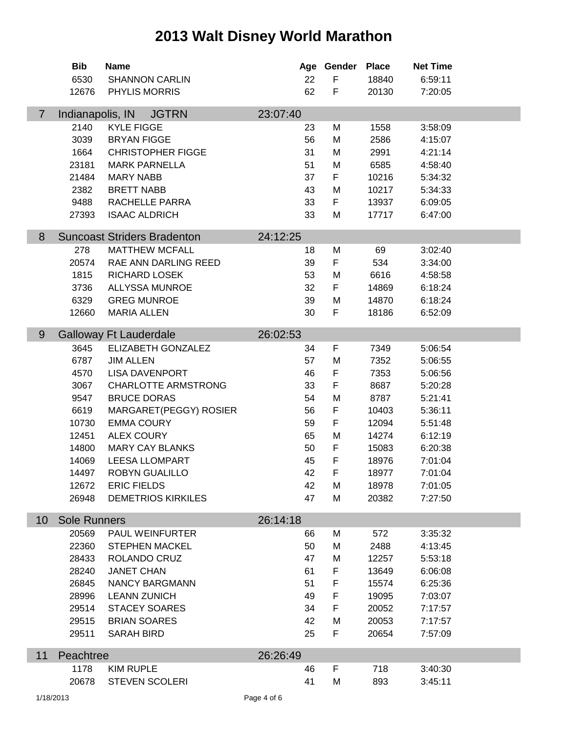|                | <b>Bib</b>          | <b>Name</b>                        |          | Age Gender | <b>Place</b> | <b>Net Time</b> |  |
|----------------|---------------------|------------------------------------|----------|------------|--------------|-----------------|--|
|                | 6530                | <b>SHANNON CARLIN</b>              | 22       | F          | 18840        | 6:59:11         |  |
|                | 12676               | PHYLIS MORRIS                      | 62       | F          | 20130        | 7:20:05         |  |
| $\overline{7}$ | Indianapolis, IN    | <b>JGTRN</b>                       | 23:07:40 |            |              |                 |  |
|                | 2140                | <b>KYLE FIGGE</b>                  | 23       | M          | 1558         | 3:58:09         |  |
|                | 3039                | <b>BRYAN FIGGE</b>                 | 56       | M          | 2586         | 4:15:07         |  |
|                | 1664                | <b>CHRISTOPHER FIGGE</b>           | 31       | M          | 2991         | 4:21:14         |  |
|                | 23181               | <b>MARK PARNELLA</b>               | 51       | M          | 6585         | 4:58:40         |  |
|                | 21484               | <b>MARY NABB</b>                   | 37       | F          | 10216        | 5:34:32         |  |
|                | 2382                | <b>BRETT NABB</b>                  | 43       | M          | 10217        | 5:34:33         |  |
|                | 9488                | RACHELLE PARRA                     | 33       | F          | 13937        | 6:09:05         |  |
|                | 27393               | <b>ISAAC ALDRICH</b>               | 33       | M          | 17717        | 6:47:00         |  |
|                |                     |                                    |          |            |              |                 |  |
| 8              |                     | <b>Suncoast Striders Bradenton</b> | 24:12:25 |            |              |                 |  |
|                | 278                 | <b>MATTHEW MCFALL</b>              | 18       | M          | 69           | 3:02:40         |  |
|                | 20574               | RAE ANN DARLING REED               | 39       | F          | 534          | 3:34:00         |  |
|                | 1815                | <b>RICHARD LOSEK</b>               | 53       | M          | 6616         | 4:58:58         |  |
|                | 3736                | <b>ALLYSSA MUNROE</b>              | 32       | F          | 14869        | 6:18:24         |  |
|                | 6329                | <b>GREG MUNROE</b>                 | 39       | M          | 14870        | 6:18:24         |  |
|                | 12660               | <b>MARIA ALLEN</b>                 | 30       | F          | 18186        | 6:52:09         |  |
| 9              |                     | <b>Galloway Ft Lauderdale</b>      | 26:02:53 |            |              |                 |  |
|                | 3645                | ELIZABETH GONZALEZ                 | 34       | F          | 7349         | 5:06:54         |  |
|                | 6787                | <b>JIM ALLEN</b>                   | 57       | M          | 7352         | 5:06:55         |  |
|                | 4570                | <b>LISA DAVENPORT</b>              | 46       | F          | 7353         | 5:06:56         |  |
|                | 3067                | <b>CHARLOTTE ARMSTRONG</b>         | 33       | F          | 8687         | 5:20:28         |  |
|                | 9547                | <b>BRUCE DORAS</b>                 | 54       | M          | 8787         | 5:21:41         |  |
|                | 6619                | MARGARET(PEGGY) ROSIER             | 56       | F          | 10403        | 5:36:11         |  |
|                | 10730               | <b>EMMA COURY</b>                  | 59       | F          | 12094        | 5:51:48         |  |
|                | 12451               | <b>ALEX COURY</b>                  | 65       | M          | 14274        | 6:12:19         |  |
|                | 14800               | <b>MARY CAY BLANKS</b>             | 50       | F          | 15083        | 6:20:38         |  |
|                | 14069               | <b>LEESA LLOMPART</b>              | 45       | F          | 18976        | 7:01:04         |  |
|                | 14497               | ROBYN GUALILLO                     | 42       | F          | 18977        | 7:01:04         |  |
|                | 12672               | <b>ERIC FIELDS</b>                 | 42       | М          | 18978        | 7:01:05         |  |
|                | 26948               | <b>DEMETRIOS KIRKILES</b>          | 47       | М          | 20382        | 7:27:50         |  |
|                |                     |                                    |          |            |              |                 |  |
| 10             | <b>Sole Runners</b> |                                    | 26:14:18 |            |              |                 |  |
|                | 20569               | <b>PAUL WEINFURTER</b>             | 66       | М          | 572          | 3:35:32         |  |
|                | 22360               | <b>STEPHEN MACKEL</b>              | 50       | M          | 2488         | 4:13:45         |  |
|                | 28433               | ROLANDO CRUZ                       | 47       | M          | 12257        | 5:53:18         |  |
|                | 28240               | <b>JANET CHAN</b>                  | 61       | F          | 13649        | 6:06:08         |  |
|                | 26845               | <b>NANCY BARGMANN</b>              | 51       | F          | 15574        | 6:25:36         |  |
|                | 28996               | <b>LEANN ZUNICH</b>                | 49       | F          | 19095        | 7:03:07         |  |
|                | 29514               | <b>STACEY SOARES</b>               | 34       | F          | 20052        | 7:17:57         |  |
|                | 29515               | <b>BRIAN SOARES</b>                | 42       | M          | 20053        | 7:17:57         |  |
|                | 29511               | <b>SARAH BIRD</b>                  | 25       | F          | 20654        | 7:57:09         |  |
| 11             | Peachtree           |                                    | 26:26:49 |            |              |                 |  |
|                | 1178                | <b>KIM RUPLE</b>                   | 46       | F          | 718          | 3:40:30         |  |
|                | 20678               | <b>STEVEN SCOLERI</b>              | 41       | M          | 893          | 3:45:11         |  |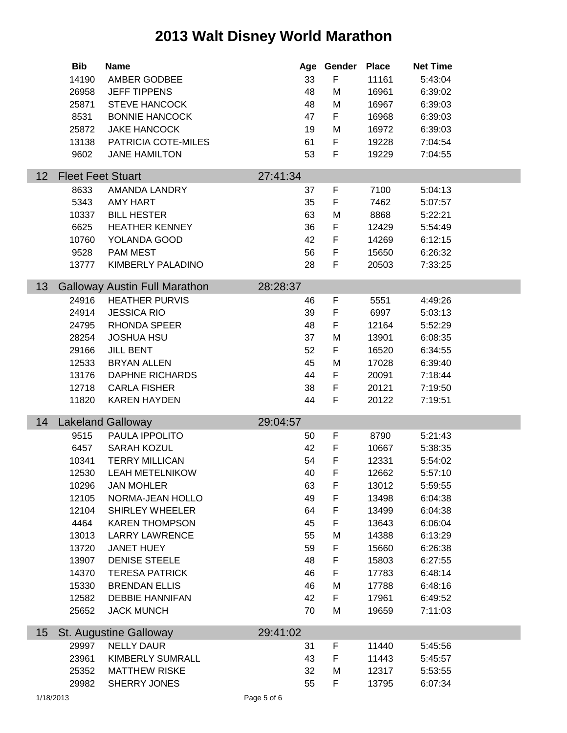|    | <b>Bib</b>               | <b>Name</b>                          |          | Age Gender | <b>Place</b> | <b>Net Time</b> |  |
|----|--------------------------|--------------------------------------|----------|------------|--------------|-----------------|--|
|    | 14190                    | AMBER GODBEE                         | 33       | F          | 11161        | 5:43:04         |  |
|    | 26958                    | <b>JEFF TIPPENS</b>                  | 48       | M          | 16961        | 6:39:02         |  |
|    | 25871                    | <b>STEVE HANCOCK</b>                 | 48       | M          | 16967        | 6:39:03         |  |
|    | 8531                     | <b>BONNIE HANCOCK</b>                | 47       | F          | 16968        | 6:39:03         |  |
|    | 25872                    | <b>JAKE HANCOCK</b>                  | 19       | M          | 16972        | 6:39:03         |  |
|    | 13138                    | PATRICIA COTE-MILES                  | 61       | F          | 19228        | 7:04:54         |  |
|    | 9602                     | <b>JANE HAMILTON</b>                 | 53       | F          | 19229        | 7:04:55         |  |
| 12 | <b>Fleet Feet Stuart</b> |                                      | 27:41:34 |            |              |                 |  |
|    | 8633                     | AMANDA LANDRY                        | 37       | F          | 7100         | 5:04:13         |  |
|    | 5343                     | AMY HART                             | 35       | F          | 7462         | 5:07:57         |  |
|    | 10337                    | <b>BILL HESTER</b>                   | 63       | M          | 8868         | 5:22:21         |  |
|    | 6625                     | <b>HEATHER KENNEY</b>                | 36       | F          | 12429        | 5:54:49         |  |
|    | 10760                    | YOLANDA GOOD                         | 42       | F          | 14269        | 6:12:15         |  |
|    | 9528                     | <b>PAM MEST</b>                      | 56       | F          | 15650        | 6:26:32         |  |
|    | 13777                    | KIMBERLY PALADINO                    | 28       | F          | 20503        | 7:33:25         |  |
|    |                          |                                      |          |            |              |                 |  |
| 13 |                          | <b>Galloway Austin Full Marathon</b> | 28:28:37 |            |              |                 |  |
|    | 24916                    | <b>HEATHER PURVIS</b>                | 46       | F          | 5551         | 4:49:26         |  |
|    | 24914                    | <b>JESSICA RIO</b>                   | 39       | F          | 6997         | 5:03:13         |  |
|    | 24795                    | <b>RHONDA SPEER</b>                  | 48       | F          | 12164        | 5:52:29         |  |
|    | 28254                    | <b>JOSHUA HSU</b>                    | 37       | M          | 13901        | 6:08:35         |  |
|    | 29166                    | <b>JILL BENT</b>                     | 52       | F          | 16520        | 6:34:55         |  |
|    | 12533                    | <b>BRYAN ALLEN</b>                   | 45       | M          | 17028        | 6:39:40         |  |
|    | 13176                    | <b>DAPHNE RICHARDS</b>               | 44       | F          | 20091        | 7:18:44         |  |
|    | 12718                    | <b>CARLA FISHER</b>                  | 38       | F          | 20121        | 7:19:50         |  |
|    | 11820                    | <b>KAREN HAYDEN</b>                  | 44       | F          | 20122        | 7:19:51         |  |
| 14 |                          | <b>Lakeland Galloway</b>             | 29:04:57 |            |              |                 |  |
|    | 9515                     | PAULA IPPOLITO                       | 50       | F          | 8790         | 5:21:43         |  |
|    | 6457                     | SARAH KOZUL                          | 42       | F          | 10667        | 5:38:35         |  |
|    | 10341                    | <b>TERRY MILLICAN</b>                | 54       | F          | 12331        | 5:54:02         |  |
|    |                          | 12530 LEAH METELNIKOW                | 40       | F          | 12662        | 5:57:10         |  |
|    | 10296                    | <b>JAN MOHLER</b>                    | 63       | F          | 13012        | 5:59:55         |  |
|    | 12105                    | NORMA-JEAN HOLLO                     | 49       | F          | 13498        | 6:04:38         |  |
|    | 12104                    | <b>SHIRLEY WHEELER</b>               | 64       | F          | 13499        | 6:04:38         |  |
|    | 4464                     | <b>KAREN THOMPSON</b>                | 45       | F          | 13643        | 6:06:04         |  |
|    | 13013                    | <b>LARRY LAWRENCE</b>                | 55       | M          | 14388        | 6:13:29         |  |
|    | 13720                    | <b>JANET HUEY</b>                    | 59       | F          | 15660        | 6:26:38         |  |
|    | 13907                    | <b>DENISE STEELE</b>                 | 48       | F          | 15803        | 6:27:55         |  |
|    | 14370                    | <b>TERESA PATRICK</b>                | 46       | F          | 17783        | 6:48:14         |  |
|    | 15330                    | <b>BRENDAN ELLIS</b>                 | 46       | M          | 17788        | 6:48:16         |  |
|    | 12582                    | <b>DEBBIE HANNIFAN</b>               | 42       | F          | 17961        | 6:49:52         |  |
|    | 25652                    | <b>JACK MUNCH</b>                    | 70       | М          | 19659        | 7:11:03         |  |
| 15 |                          | St. Augustine Galloway               | 29:41:02 |            |              |                 |  |
|    | 29997                    | <b>NELLY DAUR</b>                    | 31       | F          | 11440        | 5:45:56         |  |
|    | 23961                    | <b>KIMBERLY SUMRALL</b>              | 43       | F          | 11443        | 5:45:57         |  |
|    | 25352                    | <b>MATTHEW RISKE</b>                 | 32       | M          | 12317        | 5:53:55         |  |
|    | 29982                    | SHERRY JONES                         | 55       | F.         | 13795        | 6:07:34         |  |